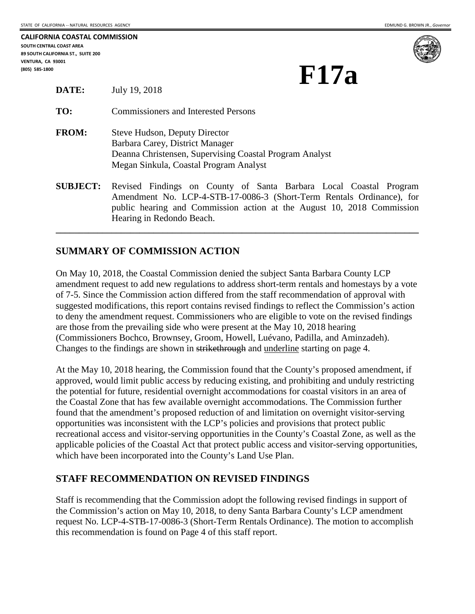| CALIFORNIA COASTAL COMMISSION      |
|------------------------------------|
| SOUTH CENTRAL COAST AREA           |
| 89 SOUTH CALIFORNIA ST., SUITE 200 |
| <b>VENTURA. CA 93001</b>           |
| (805) 585-1800                     |



# **(BATE:** July 19, 2018) **F17a**

| TO:          | <b>Commissioners and Interested Persons</b>                                                                                                                           |
|--------------|-----------------------------------------------------------------------------------------------------------------------------------------------------------------------|
| <b>FROM:</b> | Steve Hudson, Deputy Director<br>Barbara Carey, District Manager<br>Deanna Christensen, Supervising Coastal Program Analyst<br>Megan Sinkula, Coastal Program Analyst |
|              | <b>SUBJECT:</b> Revised Findings on County of Santa Barbara Local                                                                                                     |

**SUBJECT:** Revised Findings on County of Santa Barbara Local Coastal Program Amendment No. LCP-4-STB-17-0086-3 (Short-Term Rentals Ordinance), for public hearing and Commission action at the August 10, 2018 Commission Hearing in Redondo Beach.

**\_\_\_\_\_\_\_\_\_\_\_\_\_\_\_\_\_\_\_\_\_\_\_\_\_\_\_\_\_\_\_\_\_\_\_\_\_\_\_\_\_\_\_\_\_\_\_\_\_\_\_\_\_\_\_\_\_\_\_\_\_\_\_\_\_\_\_\_\_\_\_\_\_\_\_\_\_\_** 

#### **SUMMARY OF COMMISSION ACTION**

**DATE:** July 19, 2018

On May 10, 2018, the Coastal Commission denied the subject Santa Barbara County LCP amendment request to add new regulations to address short-term rentals and homestays by a vote of 7-5. Since the Commission action differed from the staff recommendation of approval with suggested modifications, this report contains revised findings to reflect the Commission's action to deny the amendment request. Commissioners who are eligible to vote on the revised findings are those from the prevailing side who were present at the May 10, 2018 hearing (Commissioners Bochco, Brownsey, Groom, Howell, Luévano, Padilla, and Aminzadeh). Changes to the findings are shown in strikethrough and underline starting on page 4.

At the May 10, 2018 hearing, the Commission found that the County's proposed amendment, if approved, would limit public access by reducing existing, and prohibiting and unduly restricting the potential for future, residential overnight accommodations for coastal visitors in an area of the Coastal Zone that has few available overnight accommodations. The Commission further found that the amendment's proposed reduction of and limitation on overnight visitor-serving opportunities was inconsistent with the LCP's policies and provisions that protect public recreational access and visitor-serving opportunities in the County's Coastal Zone, as well as the applicable policies of the Coastal Act that protect public access and visitor-serving opportunities, which have been incorporated into the County's Land Use Plan.

#### **STAFF RECOMMENDATION ON REVISED FINDINGS**

Staff is recommending that the Commission adopt the following revised findings in support of the Commission's action on May 10, 2018, to deny Santa Barbara County's LCP amendment request No. LCP-4-STB-17-0086-3 (Short-Term Rentals Ordinance). The motion to accomplish this recommendation is found on Page 4 of this staff report.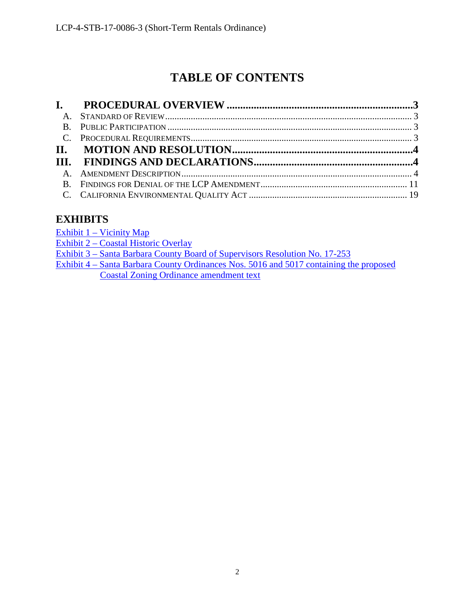# **TABLE OF CONTENTS**

# <span id="page-1-0"></span>**EXHIBITS**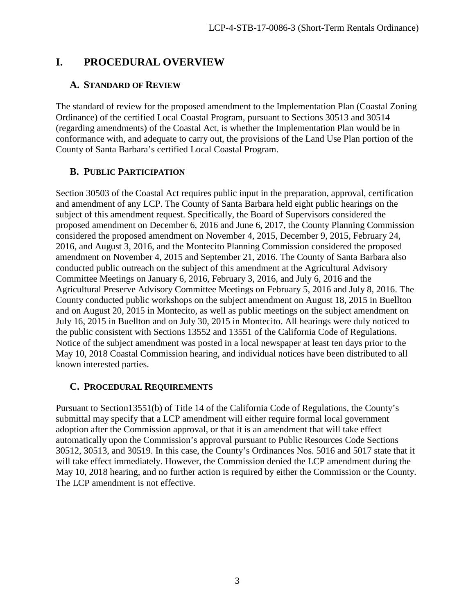### <span id="page-2-0"></span>**I. PROCEDURAL OVERVIEW**

#### <span id="page-2-1"></span>**A. STANDARD OF REVIEW**

The standard of review for the proposed amendment to the Implementation Plan (Coastal Zoning Ordinance) of the certified Local Coastal Program, pursuant to Sections 30513 and 30514 (regarding amendments) of the Coastal Act, is whether the Implementation Plan would be in conformance with, and adequate to carry out, the provisions of the Land Use Plan portion of the County of Santa Barbara's certified Local Coastal Program.

#### <span id="page-2-2"></span>**B. PUBLIC PARTICIPATION**

Section 30503 of the Coastal Act requires public input in the preparation, approval, certification and amendment of any LCP. The County of Santa Barbara held eight public hearings on the subject of this amendment request. Specifically, the Board of Supervisors considered the proposed amendment on December 6, 2016 and June 6, 2017, the County Planning Commission considered the proposed amendment on November 4, 2015, December 9, 2015, February 24, 2016, and August 3, 2016, and the Montecito Planning Commission considered the proposed amendment on November 4, 2015 and September 21, 2016. The County of Santa Barbara also conducted public outreach on the subject of this amendment at the Agricultural Advisory Committee Meetings on January 6, 2016, February 3, 2016, and July 6, 2016 and the Agricultural Preserve Advisory Committee Meetings on February 5, 2016 and July 8, 2016. The County conducted public workshops on the subject amendment on August 18, 2015 in Buellton and on August 20, 2015 in Montecito, as well as public meetings on the subject amendment on July 16, 2015 in Buellton and on July 30, 2015 in Montecito. All hearings were duly noticed to the public consistent with Sections 13552 and 13551 of the California Code of Regulations. Notice of the subject amendment was posted in a local newspaper at least ten days prior to the May 10, 2018 Coastal Commission hearing, and individual notices have been distributed to all known interested parties.

#### <span id="page-2-3"></span>**C. PROCEDURAL REQUIREMENTS**

Pursuant to Section13551(b) of Title 14 of the California Code of Regulations, the County's submittal may specify that a LCP amendment will either require formal local government adoption after the Commission approval, or that it is an amendment that will take effect automatically upon the Commission's approval pursuant to Public Resources Code Sections 30512, 30513, and 30519. In this case, the County's Ordinances Nos. 5016 and 5017 state that it will take effect immediately. However, the Commission denied the LCP amendment during the May 10, 2018 hearing, and no further action is required by either the Commission or the County. The LCP amendment is not effective.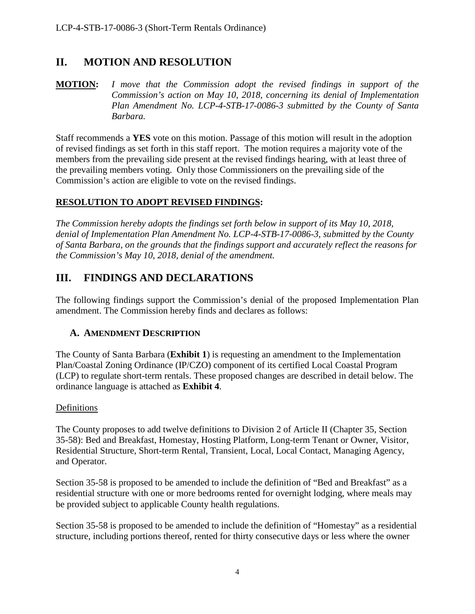# <span id="page-3-0"></span>**II. MOTION AND RESOLUTION**

**MOTION:** *I move that the Commission adopt the revised findings in support of the Commission's action on May 10, 2018, concerning its denial of Implementation Plan Amendment No. LCP-4-STB-17-0086-3 submitted by the County of Santa Barbara.*

Staff recommends a **YES** vote on this motion. Passage of this motion will result in the adoption of revised findings as set forth in this staff report. The motion requires a majority vote of the members from the prevailing side present at the revised findings hearing, with at least three of the prevailing members voting. Only those Commissioners on the prevailing side of the Commission's action are eligible to vote on the revised findings.

#### **RESOLUTION TO ADOPT REVISED FINDINGS:**

*The Commission hereby adopts the findings set forth below in support of its May 10, 2018, denial of Implementation Plan Amendment No. LCP-4-STB-17-0086-3, submitted by the County of Santa Barbara, on the grounds that the findings support and accurately reflect the reasons for the Commission's May 10, 2018, denial of the amendment.* 

## <span id="page-3-1"></span>**III. FINDINGS AND DECLARATIONS**

The following findings support the Commission's denial of the proposed Implementation Plan amendment. The Commission hereby finds and declares as follows:

#### <span id="page-3-2"></span>**A. AMENDMENT DESCRIPTION**

The County of Santa Barbara (**Exhibit 1**) is requesting an amendment to the Implementation Plan/Coastal Zoning Ordinance (IP/CZO) component of its certified Local Coastal Program (LCP) to regulate short-term rentals. These proposed changes are described in detail below. The ordinance language is attached as **Exhibit 4**.

#### **Definitions**

The County proposes to add twelve definitions to Division 2 of Article II (Chapter 35, Section 35-58): Bed and Breakfast, Homestay, Hosting Platform, Long-term Tenant or Owner, Visitor, Residential Structure, Short-term Rental, Transient, Local, Local Contact, Managing Agency, and Operator.

Section 35-58 is proposed to be amended to include the definition of "Bed and Breakfast" as a residential structure with one or more bedrooms rented for overnight lodging, where meals may be provided subject to applicable County health regulations.

Section 35-58 is proposed to be amended to include the definition of "Homestay" as a residential structure, including portions thereof, rented for thirty consecutive days or less where the owner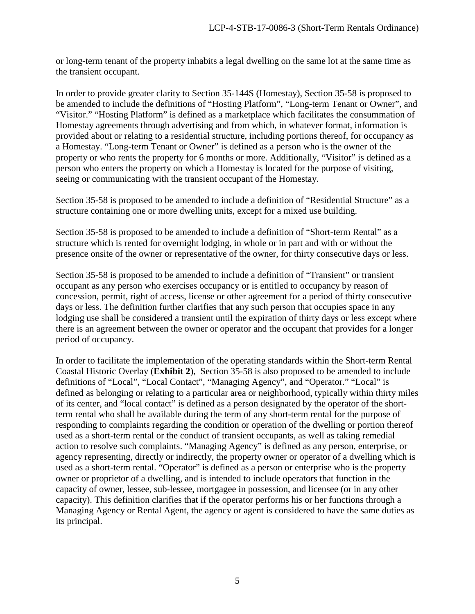or long-term tenant of the property inhabits a legal dwelling on the same lot at the same time as the transient occupant.

In order to provide greater clarity to Section 35-144S (Homestay), Section 35-58 is proposed to be amended to include the definitions of "Hosting Platform", "Long-term Tenant or Owner", and "Visitor." "Hosting Platform" is defined as a marketplace which facilitates the consummation of Homestay agreements through advertising and from which, in whatever format, information is provided about or relating to a residential structure, including portions thereof, for occupancy as a Homestay. "Long-term Tenant or Owner" is defined as a person who is the owner of the property or who rents the property for 6 months or more. Additionally, "Visitor" is defined as a person who enters the property on which a Homestay is located for the purpose of visiting, seeing or communicating with the transient occupant of the Homestay.

Section 35-58 is proposed to be amended to include a definition of "Residential Structure" as a structure containing one or more dwelling units, except for a mixed use building.

Section 35-58 is proposed to be amended to include a definition of "Short-term Rental" as a structure which is rented for overnight lodging, in whole or in part and with or without the presence onsite of the owner or representative of the owner, for thirty consecutive days or less.

Section 35-58 is proposed to be amended to include a definition of "Transient" or transient occupant as any person who exercises occupancy or is entitled to occupancy by reason of concession, permit, right of access, license or other agreement for a period of thirty consecutive days or less. The definition further clarifies that any such person that occupies space in any lodging use shall be considered a transient until the expiration of thirty days or less except where there is an agreement between the owner or operator and the occupant that provides for a longer period of occupancy.

In order to facilitate the implementation of the operating standards within the Short-term Rental Coastal Historic Overlay (**Exhibit 2**), Section 35-58 is also proposed to be amended to include definitions of "Local", "Local Contact", "Managing Agency", and "Operator." "Local" is defined as belonging or relating to a particular area or neighborhood, typically within thirty miles of its center, and "local contact" is defined as a person designated by the operator of the shortterm rental who shall be available during the term of any short-term rental for the purpose of responding to complaints regarding the condition or operation of the dwelling or portion thereof used as a short-term rental or the conduct of transient occupants, as well as taking remedial action to resolve such complaints. "Managing Agency" is defined as any person, enterprise, or agency representing, directly or indirectly, the property owner or operator of a dwelling which is used as a short-term rental. "Operator" is defined as a person or enterprise who is the property owner or proprietor of a dwelling, and is intended to include operators that function in the capacity of owner, lessee, sub-lessee, mortgagee in possession, and licensee (or in any other capacity). This definition clarifies that if the operator performs his or her functions through a Managing Agency or Rental Agent, the agency or agent is considered to have the same duties as its principal.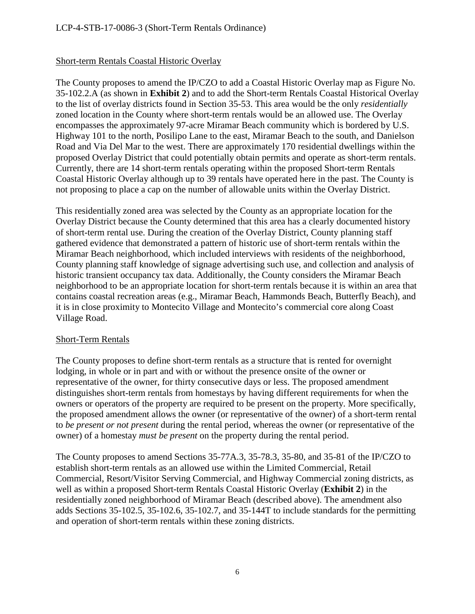#### Short-term Rentals Coastal Historic Overlay

The County proposes to amend the IP/CZO to add a Coastal Historic Overlay map as Figure No. 35-102.2.A (as shown in **Exhibit 2**) and to add the Short-term Rentals Coastal Historical Overlay to the list of overlay districts found in Section 35-53. This area would be the only *residentially* zoned location in the County where short-term rentals would be an allowed use. The Overlay encompasses the approximately 97-acre Miramar Beach community which is bordered by U.S. Highway 101 to the north, Posilipo Lane to the east, Miramar Beach to the south, and Danielson Road and Via Del Mar to the west. There are approximately 170 residential dwellings within the proposed Overlay District that could potentially obtain permits and operate as short-term rentals. Currently, there are 14 short-term rentals operating within the proposed Short-term Rentals Coastal Historic Overlay although up to 39 rentals have operated here in the past. The County is not proposing to place a cap on the number of allowable units within the Overlay District.

This residentially zoned area was selected by the County as an appropriate location for the Overlay District because the County determined that this area has a clearly documented history of short-term rental use. During the creation of the Overlay District, County planning staff gathered evidence that demonstrated a pattern of historic use of short-term rentals within the Miramar Beach neighborhood, which included interviews with residents of the neighborhood, County planning staff knowledge of signage advertising such use, and collection and analysis of historic transient occupancy tax data. Additionally, the County considers the Miramar Beach neighborhood to be an appropriate location for short-term rentals because it is within an area that contains coastal recreation areas (e.g., Miramar Beach, Hammonds Beach, Butterfly Beach), and it is in close proximity to Montecito Village and Montecito's commercial core along Coast Village Road.

#### Short-Term Rentals

The County proposes to define short-term rentals as a structure that is rented for overnight lodging, in whole or in part and with or without the presence onsite of the owner or representative of the owner, for thirty consecutive days or less. The proposed amendment distinguishes short-term rentals from homestays by having different requirements for when the owners or operators of the property are required to be present on the property. More specifically, the proposed amendment allows the owner (or representative of the owner) of a short-term rental to *be present or not present* during the rental period, whereas the owner (or representative of the owner) of a homestay *must be present* on the property during the rental period.

The County proposes to amend Sections 35-77A.3, 35-78.3, 35-80, and 35-81 of the IP/CZO to establish short-term rentals as an allowed use within the Limited Commercial, Retail Commercial, Resort/Visitor Serving Commercial, and Highway Commercial zoning districts, as well as within a proposed Short-term Rentals Coastal Historic Overlay (**Exhibit 2**) in the residentially zoned neighborhood of Miramar Beach (described above). The amendment also adds Sections 35-102.5, 35-102.6, 35-102.7, and 35-144T to include standards for the permitting and operation of short-term rentals within these zoning districts.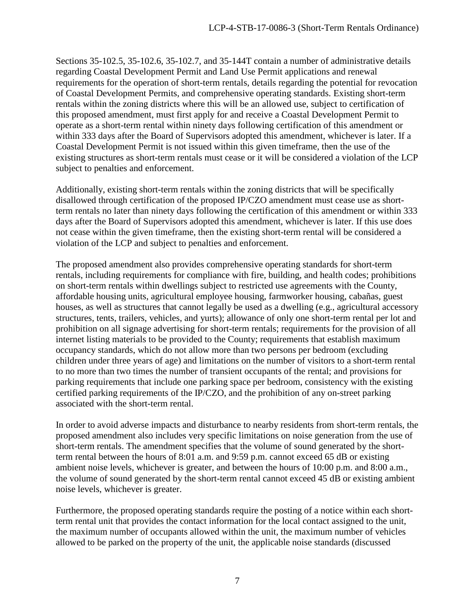Sections 35-102.5, 35-102.6, 35-102.7, and 35-144T contain a number of administrative details regarding Coastal Development Permit and Land Use Permit applications and renewal requirements for the operation of short-term rentals, details regarding the potential for revocation of Coastal Development Permits, and comprehensive operating standards. Existing short-term rentals within the zoning districts where this will be an allowed use, subject to certification of this proposed amendment, must first apply for and receive a Coastal Development Permit to operate as a short-term rental within ninety days following certification of this amendment or within 333 days after the Board of Supervisors adopted this amendment, whichever is later. If a Coastal Development Permit is not issued within this given timeframe, then the use of the existing structures as short-term rentals must cease or it will be considered a violation of the LCP subject to penalties and enforcement.

Additionally, existing short-term rentals within the zoning districts that will be specifically disallowed through certification of the proposed IP/CZO amendment must cease use as shortterm rentals no later than ninety days following the certification of this amendment or within 333 days after the Board of Supervisors adopted this amendment, whichever is later. If this use does not cease within the given timeframe, then the existing short-term rental will be considered a violation of the LCP and subject to penalties and enforcement.

The proposed amendment also provides comprehensive operating standards for short-term rentals, including requirements for compliance with fire, building, and health codes; prohibitions on short-term rentals within dwellings subject to restricted use agreements with the County, affordable housing units, agricultural employee housing, farmworker housing, cabañas, guest houses, as well as structures that cannot legally be used as a dwelling (e.g., agricultural accessory structures, tents, trailers, vehicles, and yurts); allowance of only one short-term rental per lot and prohibition on all signage advertising for short-term rentals; requirements for the provision of all internet listing materials to be provided to the County; requirements that establish maximum occupancy standards, which do not allow more than two persons per bedroom (excluding children under three years of age) and limitations on the number of visitors to a short-term rental to no more than two times the number of transient occupants of the rental; and provisions for parking requirements that include one parking space per bedroom, consistency with the existing certified parking requirements of the IP/CZO, and the prohibition of any on-street parking associated with the short-term rental.

In order to avoid adverse impacts and disturbance to nearby residents from short-term rentals, the proposed amendment also includes very specific limitations on noise generation from the use of short-term rentals. The amendment specifies that the volume of sound generated by the shortterm rental between the hours of 8:01 a.m. and 9:59 p.m. cannot exceed 65 dB or existing ambient noise levels, whichever is greater, and between the hours of 10:00 p.m. and 8:00 a.m., the volume of sound generated by the short-term rental cannot exceed 45 dB or existing ambient noise levels, whichever is greater.

Furthermore, the proposed operating standards require the posting of a notice within each shortterm rental unit that provides the contact information for the local contact assigned to the unit, the maximum number of occupants allowed within the unit, the maximum number of vehicles allowed to be parked on the property of the unit, the applicable noise standards (discussed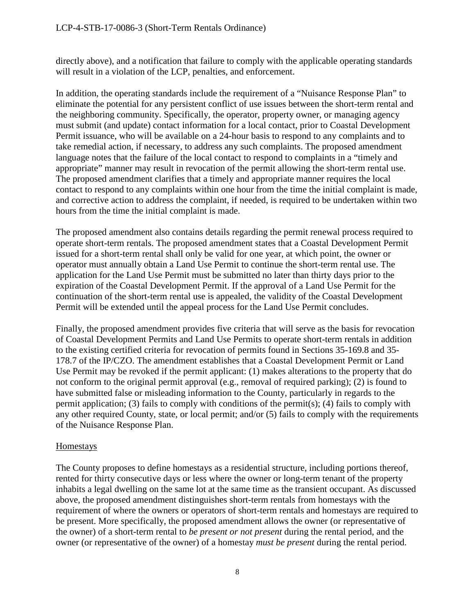directly above), and a notification that failure to comply with the applicable operating standards will result in a violation of the LCP, penalties, and enforcement.

In addition, the operating standards include the requirement of a "Nuisance Response Plan" to eliminate the potential for any persistent conflict of use issues between the short-term rental and the neighboring community. Specifically, the operator, property owner, or managing agency must submit (and update) contact information for a local contact, prior to Coastal Development Permit issuance, who will be available on a 24-hour basis to respond to any complaints and to take remedial action, if necessary, to address any such complaints. The proposed amendment language notes that the failure of the local contact to respond to complaints in a "timely and appropriate" manner may result in revocation of the permit allowing the short-term rental use. The proposed amendment clarifies that a timely and appropriate manner requires the local contact to respond to any complaints within one hour from the time the initial complaint is made, and corrective action to address the complaint, if needed, is required to be undertaken within two hours from the time the initial complaint is made.

The proposed amendment also contains details regarding the permit renewal process required to operate short-term rentals. The proposed amendment states that a Coastal Development Permit issued for a short-term rental shall only be valid for one year, at which point, the owner or operator must annually obtain a Land Use Permit to continue the short-term rental use. The application for the Land Use Permit must be submitted no later than thirty days prior to the expiration of the Coastal Development Permit. If the approval of a Land Use Permit for the continuation of the short-term rental use is appealed, the validity of the Coastal Development Permit will be extended until the appeal process for the Land Use Permit concludes.

Finally, the proposed amendment provides five criteria that will serve as the basis for revocation of Coastal Development Permits and Land Use Permits to operate short-term rentals in addition to the existing certified criteria for revocation of permits found in Sections 35-169.8 and 35- 178.7 of the IP/CZO. The amendment establishes that a Coastal Development Permit or Land Use Permit may be revoked if the permit applicant: (1) makes alterations to the property that do not conform to the original permit approval (e.g., removal of required parking); (2) is found to have submitted false or misleading information to the County, particularly in regards to the permit application; (3) fails to comply with conditions of the permit(s); (4) fails to comply with any other required County, state, or local permit; and/or (5) fails to comply with the requirements of the Nuisance Response Plan.

#### **Homestays**

The County proposes to define homestays as a residential structure, including portions thereof, rented for thirty consecutive days or less where the owner or long-term tenant of the property inhabits a legal dwelling on the same lot at the same time as the transient occupant. As discussed above, the proposed amendment distinguishes short-term rentals from homestays with the requirement of where the owners or operators of short-term rentals and homestays are required to be present. More specifically, the proposed amendment allows the owner (or representative of the owner) of a short-term rental to *be present or not present* during the rental period, and the owner (or representative of the owner) of a homestay *must be present* during the rental period.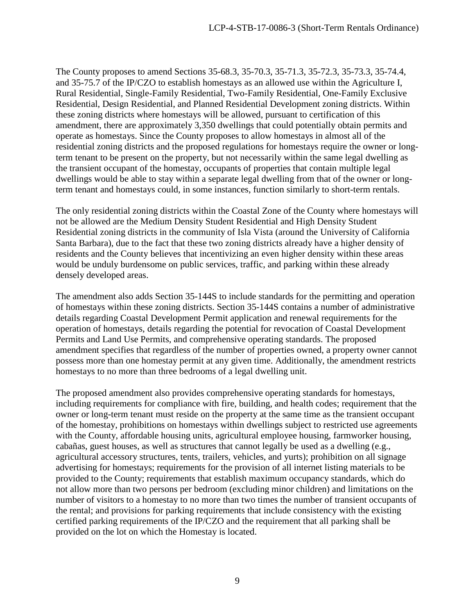The County proposes to amend Sections 35-68.3, 35-70.3, 35-71.3, 35-72.3, 35-73.3, 35-74.4, and 35-75.7 of the IP/CZO to establish homestays as an allowed use within the Agriculture I, Rural Residential, Single-Family Residential, Two-Family Residential, One-Family Exclusive Residential, Design Residential, and Planned Residential Development zoning districts. Within these zoning districts where homestays will be allowed, pursuant to certification of this amendment, there are approximately 3,350 dwellings that could potentially obtain permits and operate as homestays. Since the County proposes to allow homestays in almost all of the residential zoning districts and the proposed regulations for homestays require the owner or longterm tenant to be present on the property, but not necessarily within the same legal dwelling as the transient occupant of the homestay, occupants of properties that contain multiple legal dwellings would be able to stay within a separate legal dwelling from that of the owner or longterm tenant and homestays could, in some instances, function similarly to short-term rentals.

The only residential zoning districts within the Coastal Zone of the County where homestays will not be allowed are the Medium Density Student Residential and High Density Student Residential zoning districts in the community of Isla Vista (around the University of California Santa Barbara), due to the fact that these two zoning districts already have a higher density of residents and the County believes that incentivizing an even higher density within these areas would be unduly burdensome on public services, traffic, and parking within these already densely developed areas.

The amendment also adds Section 35-144S to include standards for the permitting and operation of homestays within these zoning districts. Section 35-144S contains a number of administrative details regarding Coastal Development Permit application and renewal requirements for the operation of homestays, details regarding the potential for revocation of Coastal Development Permits and Land Use Permits, and comprehensive operating standards. The proposed amendment specifies that regardless of the number of properties owned, a property owner cannot possess more than one homestay permit at any given time. Additionally, the amendment restricts homestays to no more than three bedrooms of a legal dwelling unit.

The proposed amendment also provides comprehensive operating standards for homestays, including requirements for compliance with fire, building, and health codes; requirement that the owner or long-term tenant must reside on the property at the same time as the transient occupant of the homestay, prohibitions on homestays within dwellings subject to restricted use agreements with the County, affordable housing units, agricultural employee housing, farmworker housing, cabañas, guest houses, as well as structures that cannot legally be used as a dwelling (e.g., agricultural accessory structures, tents, trailers, vehicles, and yurts); prohibition on all signage advertising for homestays; requirements for the provision of all internet listing materials to be provided to the County; requirements that establish maximum occupancy standards, which do not allow more than two persons per bedroom (excluding minor children) and limitations on the number of visitors to a homestay to no more than two times the number of transient occupants of the rental; and provisions for parking requirements that include consistency with the existing certified parking requirements of the IP/CZO and the requirement that all parking shall be provided on the lot on which the Homestay is located.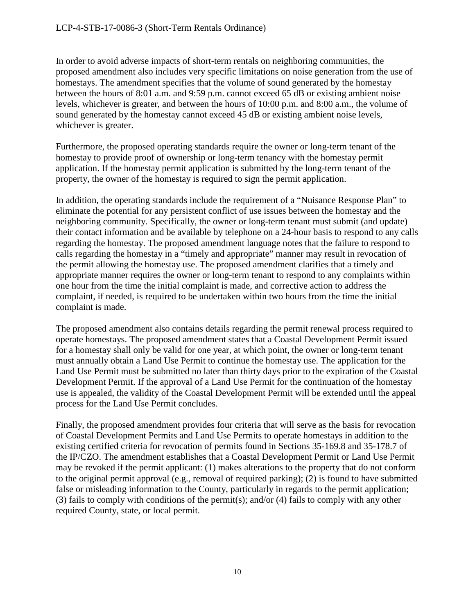In order to avoid adverse impacts of short-term rentals on neighboring communities, the proposed amendment also includes very specific limitations on noise generation from the use of homestays. The amendment specifies that the volume of sound generated by the homestay between the hours of 8:01 a.m. and 9:59 p.m. cannot exceed 65 dB or existing ambient noise levels, whichever is greater, and between the hours of 10:00 p.m. and 8:00 a.m., the volume of sound generated by the homestay cannot exceed 45 dB or existing ambient noise levels, whichever is greater.

Furthermore, the proposed operating standards require the owner or long-term tenant of the homestay to provide proof of ownership or long-term tenancy with the homestay permit application. If the homestay permit application is submitted by the long-term tenant of the property, the owner of the homestay is required to sign the permit application.

In addition, the operating standards include the requirement of a "Nuisance Response Plan" to eliminate the potential for any persistent conflict of use issues between the homestay and the neighboring community. Specifically, the owner or long-term tenant must submit (and update) their contact information and be available by telephone on a 24-hour basis to respond to any calls regarding the homestay. The proposed amendment language notes that the failure to respond to calls regarding the homestay in a "timely and appropriate" manner may result in revocation of the permit allowing the homestay use. The proposed amendment clarifies that a timely and appropriate manner requires the owner or long-term tenant to respond to any complaints within one hour from the time the initial complaint is made, and corrective action to address the complaint, if needed, is required to be undertaken within two hours from the time the initial complaint is made.

The proposed amendment also contains details regarding the permit renewal process required to operate homestays. The proposed amendment states that a Coastal Development Permit issued for a homestay shall only be valid for one year, at which point, the owner or long-term tenant must annually obtain a Land Use Permit to continue the homestay use. The application for the Land Use Permit must be submitted no later than thirty days prior to the expiration of the Coastal Development Permit. If the approval of a Land Use Permit for the continuation of the homestay use is appealed, the validity of the Coastal Development Permit will be extended until the appeal process for the Land Use Permit concludes.

Finally, the proposed amendment provides four criteria that will serve as the basis for revocation of Coastal Development Permits and Land Use Permits to operate homestays in addition to the existing certified criteria for revocation of permits found in Sections 35-169.8 and 35-178.7 of the IP/CZO. The amendment establishes that a Coastal Development Permit or Land Use Permit may be revoked if the permit applicant: (1) makes alterations to the property that do not conform to the original permit approval (e.g., removal of required parking); (2) is found to have submitted false or misleading information to the County, particularly in regards to the permit application; (3) fails to comply with conditions of the permit(s); and/or (4) fails to comply with any other required County, state, or local permit.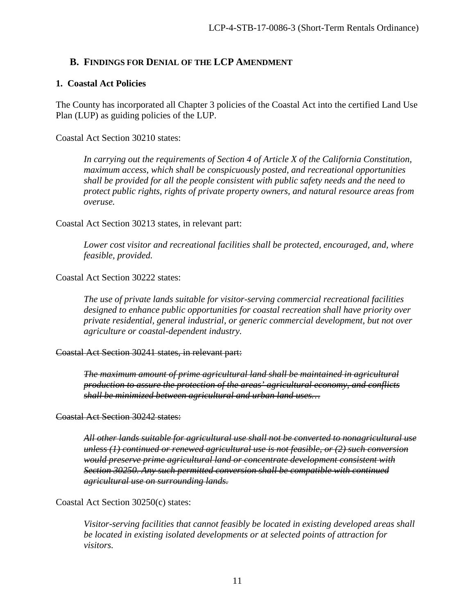#### <span id="page-10-0"></span>**B. FINDINGS FOR DENIAL OF THE LCP AMENDMENT**

#### **1. Coastal Act Policies**

The County has incorporated all Chapter 3 policies of the Coastal Act into the certified Land Use Plan (LUP) as guiding policies of the LUP.

Coastal Act Section 30210 states:

*In carrying out the requirements of Section 4 of Article X of the California Constitution, maximum access, which shall be conspicuously posted, and recreational opportunities shall be provided for all the people consistent with public safety needs and the need to protect public rights, rights of private property owners, and natural resource areas from overuse.* 

Coastal Act Section 30213 states, in relevant part:

*Lower cost visitor and recreational facilities shall be protected, encouraged, and, where feasible, provided.* 

Coastal Act Section 30222 states:

*The use of private lands suitable for visitor-serving commercial recreational facilities designed to enhance public opportunities for coastal recreation shall have priority over private residential, general industrial, or generic commercial development, but not over agriculture or coastal-dependent industry.* 

#### Coastal Act Section 30241 states, in relevant part:

*The maximum amount of prime agricultural land shall be maintained in agricultural production to assure the protection of the areas' agricultural economy, and conflicts shall be minimized between agricultural and urban land uses…* 

Coastal Act Section 30242 states:

*All other lands suitable for agricultural use shall not be converted to nonagricultural use unless (1) continued or renewed agricultural use is not feasible, or (2) such conversion would preserve prime agricultural land or concentrate development consistent with Section 30250. Any such permitted conversion shall be compatible with continued agricultural use on surrounding lands.* 

Coastal Act Section 30250(c) states:

*Visitor-serving facilities that cannot feasibly be located in existing developed areas shall be located in existing isolated developments or at selected points of attraction for visitors.*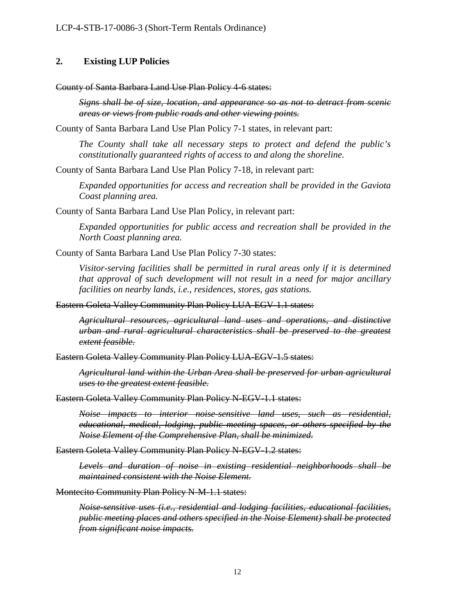#### **2. Existing LUP Policies**

County of Santa Barbara Land Use Plan Policy 4-6 states:

*Signs shall be of size, location, and appearance so as not to detract from scenic areas or views from public roads and other viewing points.*

County of Santa Barbara Land Use Plan Policy 7-1 states, in relevant part:

*The County shall take all necessary steps to protect and defend the public's constitutionally guaranteed rights of access to and along the shoreline.* 

County of Santa Barbara Land Use Plan Policy 7-18, in relevant part:

*Expanded opportunities for access and recreation shall be provided in the Gaviota Coast planning area.* 

County of Santa Barbara Land Use Plan Policy, in relevant part:

*Expanded opportunities for public access and recreation shall be provided in the North Coast planning area.* 

County of Santa Barbara Land Use Plan Policy 7-30 states:

*Visitor-serving facilities shall be permitted in rural areas only if it is determined that approval of such development will not result in a need for major ancillary facilities on nearby lands, i.e., residences, stores, gas stations.* 

Eastern Goleta Valley Community Plan Policy LUA-EGV-1.1 states:

*Agricultural resources, agricultural land uses and operations, and distinctive urban and rural agricultural characteristics shall be preserved to the greatest extent feasible.*

Eastern Goleta Valley Community Plan Policy LUA-EGV-1.5 states:

*Agricultural land within the Urban Area shall be preserved for urban agricultural uses to the greatest extent feasible.*

Eastern Goleta Valley Community Plan Policy N-EGV-1.1 states:

*Noise impacts to interior noise-sensitive land uses, such as residential, educational, medical, lodging, public meeting spaces, or others specified by the Noise Element of the Comprehensive Plan, shall be minimized.* 

Eastern Goleta Valley Community Plan Policy N-EGV-1.2 states:

*Levels and duration of noise in existing residential neighborhoods shall be maintained consistent with the Noise Element.* 

Montecito Community Plan Policy N-M-1.1 states:

*Noise-sensitive uses (i.e., residential and lodging facilities, educational facilities, public meeting places and others specified in the Noise Element) shall be protected from significant noise impacts.*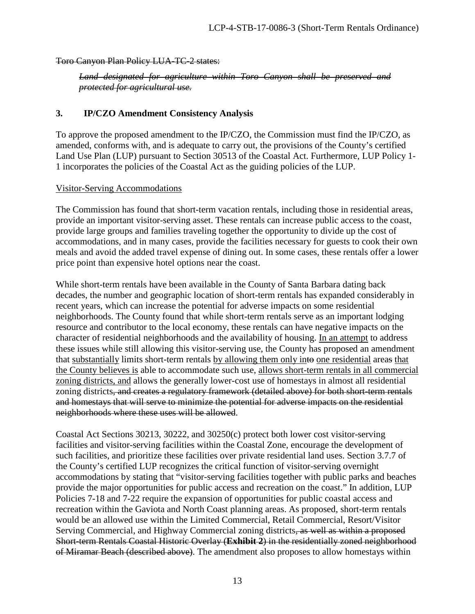Toro Canyon Plan Policy LUA-TC-2 states:

*Land designated for agriculture within Toro Canyon shall be preserved and protected for agricultural use.* 

#### **3. IP/CZO Amendment Consistency Analysis**

To approve the proposed amendment to the IP/CZO, the Commission must find the IP/CZO, as amended, conforms with, and is adequate to carry out, the provisions of the County's certified Land Use Plan (LUP) pursuant to Section 30513 of the Coastal Act. Furthermore, LUP Policy 1- 1 incorporates the policies of the Coastal Act as the guiding policies of the LUP.

#### Visitor-Serving Accommodations

The Commission has found that short-term vacation rentals, including those in residential areas, provide an important visitor-serving asset. These rentals can increase public access to the coast, provide large groups and families traveling together the opportunity to divide up the cost of accommodations, and in many cases, provide the facilities necessary for guests to cook their own meals and avoid the added travel expense of dining out. In some cases, these rentals offer a lower price point than expensive hotel options near the coast.

While short-term rentals have been available in the County of Santa Barbara dating back decades, the number and geographic location of short-term rentals has expanded considerably in recent years, which can increase the potential for adverse impacts on some residential neighborhoods. The County found that while short-term rentals serve as an important lodging resource and contributor to the local economy, these rentals can have negative impacts on the character of residential neighborhoods and the availability of housing. In an attempt to address these issues while still allowing this visitor-serving use, the County has proposed an amendment that substantially limits short-term rentals by allowing them only into one residential areas that the County believes is able to accommodate such use, allows short-term rentals in all commercial zoning districts, and allows the generally lower-cost use of homestays in almost all residential zoning districts, and creates a regulatory framework (detailed above) for both short-term rentals and homestays that will serve to minimize the potential for adverse impacts on the residential neighborhoods where these uses will be allowed.

Coastal Act Sections 30213, 30222, and 30250(c) protect both lower cost visitor-serving facilities and visitor-serving facilities within the Coastal Zone, encourage the development of such facilities, and prioritize these facilities over private residential land uses. Section 3.7.7 of the County's certified LUP recognizes the critical function of visitor-serving overnight accommodations by stating that "visitor-serving facilities together with public parks and beaches provide the major opportunities for public access and recreation on the coast." In addition, LUP Policies 7-18 and 7-22 require the expansion of opportunities for public coastal access and recreation within the Gaviota and North Coast planning areas. As proposed, short-term rentals would be an allowed use within the Limited Commercial, Retail Commercial, Resort/Visitor Serving Commercial, and Highway Commercial zoning districts, as well as within a proposed Short-term Rentals Coastal Historic Overlay (**Exhibit 2**) in the residentially zoned neighborhood of Miramar Beach (described above). The amendment also proposes to allow homestays within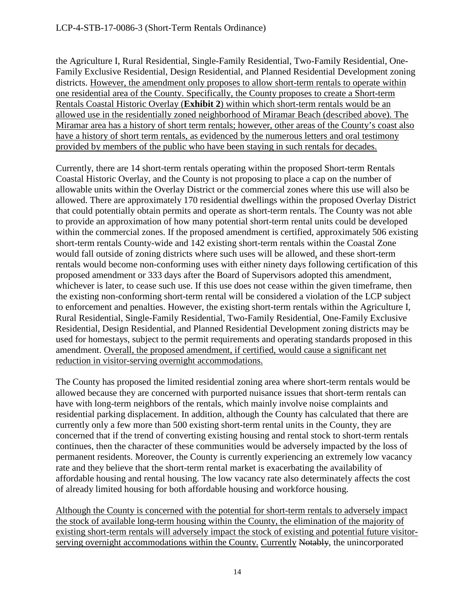the Agriculture I, Rural Residential, Single-Family Residential, Two-Family Residential, One-Family Exclusive Residential, Design Residential, and Planned Residential Development zoning districts. However, the amendment only proposes to allow short-term rentals to operate within one residential area of the County. Specifically, the County proposes to create a Short-term Rentals Coastal Historic Overlay (**Exhibit 2**) within which short-term rentals would be an allowed use in the residentially zoned neighborhood of Miramar Beach (described above). The Miramar area has a history of short term rentals; however, other areas of the County's coast also have a history of short term rentals, as evidenced by the numerous letters and oral testimony provided by members of the public who have been staying in such rentals for decades.

Currently, there are 14 short-term rentals operating within the proposed Short-term Rentals Coastal Historic Overlay, and the County is not proposing to place a cap on the number of allowable units within the Overlay District or the commercial zones where this use will also be allowed. There are approximately 170 residential dwellings within the proposed Overlay District that could potentially obtain permits and operate as short-term rentals. The County was not able to provide an approximation of how many potential short-term rental units could be developed within the commercial zones. If the proposed amendment is certified, approximately 506 existing short-term rentals County-wide and 142 existing short-term rentals within the Coastal Zone would fall outside of zoning districts where such uses will be allowed, and these short-term rentals would become non-conforming uses with either ninety days following certification of this proposed amendment or 333 days after the Board of Supervisors adopted this amendment, whichever is later, to cease such use. If this use does not cease within the given timeframe, then the existing non-conforming short-term rental will be considered a violation of the LCP subject to enforcement and penalties. However, the existing short-term rentals within the Agriculture I, Rural Residential, Single-Family Residential, Two-Family Residential, One-Family Exclusive Residential, Design Residential, and Planned Residential Development zoning districts may be used for homestays, subject to the permit requirements and operating standards proposed in this amendment. Overall, the proposed amendment, if certified, would cause a significant net reduction in visitor-serving overnight accommodations.

The County has proposed the limited residential zoning area where short-term rentals would be allowed because they are concerned with purported nuisance issues that short-term rentals can have with long-term neighbors of the rentals, which mainly involve noise complaints and residential parking displacement. In addition, although the County has calculated that there are currently only a few more than 500 existing short-term rental units in the County, they are concerned that if the trend of converting existing housing and rental stock to short-term rentals continues, then the character of these communities would be adversely impacted by the loss of permanent residents. Moreover, the County is currently experiencing an extremely low vacancy rate and they believe that the short-term rental market is exacerbating the availability of affordable housing and rental housing. The low vacancy rate also determinately affects the cost of already limited housing for both affordable housing and workforce housing.

Although the County is concerned with the potential for short-term rentals to adversely impact the stock of available long-term housing within the County, the elimination of the majority of existing short-term rentals will adversely impact the stock of existing and potential future visitorserving overnight accommodations within the County. Currently Notably, the unincorporated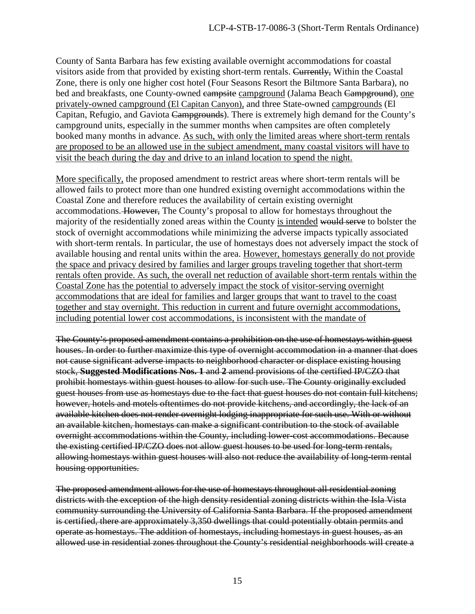County of Santa Barbara has few existing available overnight accommodations for coastal visitors aside from that provided by existing short-term rentals. Currently, Within the Coastal Zone, there is only one higher cost hotel (Four Seasons Resort the Biltmore Santa Barbara), no bed and breakfasts, one County-owned campsite campground (Jalama Beach Campground), one privately-owned campground (El Capitan Canyon), and three State-owned campgrounds (El Capitan, Refugio, and Gaviota Campgrounds). There is extremely high demand for the County's campground units, especially in the summer months when campsites are often completely booked many months in advance. As such, with only the limited areas where short-term rentals are proposed to be an allowed use in the subject amendment, many coastal visitors will have to visit the beach during the day and drive to an inland location to spend the night.

More specifically, the proposed amendment to restrict areas where short-term rentals will be allowed fails to protect more than one hundred existing overnight accommodations within the Coastal Zone and therefore reduces the availability of certain existing overnight accommodations. However, The County's proposal to allow for homestays throughout the majority of the residentially zoned areas within the County is intended would serve to bolster the stock of overnight accommodations while minimizing the adverse impacts typically associated with short-term rentals. In particular, the use of homestays does not adversely impact the stock of available housing and rental units within the area. However, homestays generally do not provide the space and privacy desired by families and larger groups traveling together that short-term rentals often provide. As such, the overall net reduction of available short-term rentals within the Coastal Zone has the potential to adversely impact the stock of visitor-serving overnight accommodations that are ideal for families and larger groups that want to travel to the coast together and stay overnight. This reduction in current and future overnight accommodations, including potential lower cost accommodations, is inconsistent with the mandate of

The County's proposed amendment contains a prohibition on the use of homestays within guest houses. In order to further maximize this type of overnight accommodation in a manner that does not cause significant adverse impacts to neighborhood character or displace existing housing stock, **Suggested Modifications Nos. 1** and **2** amend provisions of the certified IP/CZO that prohibit homestays within guest houses to allow for such use. The County originally excluded guest houses from use as homestays due to the fact that guest houses do not contain full kitchens; however, hotels and motels oftentimes do not provide kitchens, and accordingly, the lack of an available kitchen does not render overnight lodging inappropriate for such use. With or without an available kitchen, homestays can make a significant contribution to the stock of available overnight accommodations within the County, including lower-cost accommodations. Because the existing certified IP/CZO does not allow guest houses to be used for long-term rentals, allowing homestays within guest houses will also not reduce the availability of long-term rental housing opportunities.

The proposed amendment allows for the use of homestays throughout all residential zoning districts with the exception of the high density residential zoning districts within the Isla Vista community surrounding the University of California Santa Barbara. If the proposed amendment is certified, there are approximately 3,350 dwellings that could potentially obtain permits and operate as homestays. The addition of homestays, including homestays in guest houses, as an allowed use in residential zones throughout the County's residential neighborhoods will create a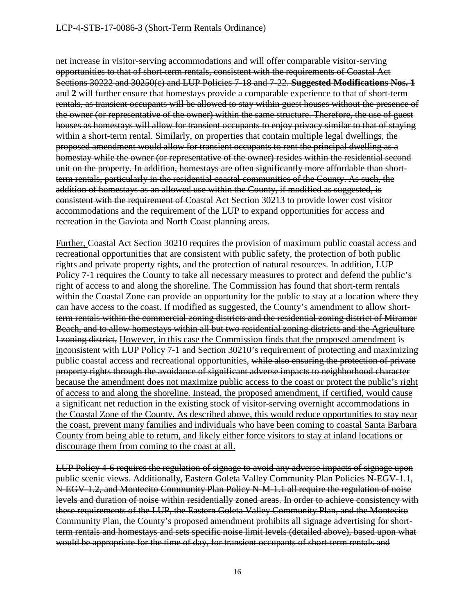net increase in visitor-serving accommodations and will offer comparable visitor-serving opportunities to that of short-term rentals, consistent with the requirements of Coastal Act Sections 30222 and 30250(c) and LUP Policies 7-18 and 7-22. **Suggested Modifications Nos. 1**  and **2** will further ensure that homestays provide a comparable experience to that of short-term rentals, as transient occupants will be allowed to stay within guest houses without the presence of the owner (or representative of the owner) within the same structure. Therefore, the use of guest houses as homestays will allow for transient occupants to enjoy privacy similar to that of staying within a short-term rental. Similarly, on properties that contain multiple legal dwellings, the proposed amendment would allow for transient occupants to rent the principal dwelling as a homestay while the owner (or representative of the owner) resides within the residential second unit on the property. In addition, homestays are often significantly more affordable than shortterm rentals, particularly in the residential coastal communities of the County. As such, the addition of homestays as an allowed use within the County, if modified as suggested, is consistent with the requirement of Coastal Act Section 30213 to provide lower cost visitor accommodations and the requirement of the LUP to expand opportunities for access and recreation in the Gaviota and North Coast planning areas.

Further, Coastal Act Section 30210 requires the provision of maximum public coastal access and recreational opportunities that are consistent with public safety, the protection of both public rights and private property rights, and the protection of natural resources. In addition, LUP Policy 7-1 requires the County to take all necessary measures to protect and defend the public's right of access to and along the shoreline. The Commission has found that short-term rentals within the Coastal Zone can provide an opportunity for the public to stay at a location where they can have access to the coast. If modified as suggested, the County's amendment to allow shortterm rentals within the commercial zoning districts and the residential zoning district of Miramar Beach, and to allow homestays within all but two residential zoning districts and the Agriculture **I zoning district,** However, in this case the Commission finds that the proposed amendment is inconsistent with LUP Policy 7-1 and Section 30210's requirement of protecting and maximizing public coastal access and recreational opportunities, while also ensuring the protection of private property rights through the avoidance of significant adverse impacts to neighborhood character because the amendment does not maximize public access to the coast or protect the public's right of access to and along the shoreline. Instead, the proposed amendment, if certified, would cause a significant net reduction in the existing stock of visitor-serving overnight accommodations in the Coastal Zone of the County. As described above, this would reduce opportunities to stay near the coast, prevent many families and individuals who have been coming to coastal Santa Barbara County from being able to return, and likely either force visitors to stay at inland locations or discourage them from coming to the coast at all.

LUP Policy 4-6 requires the regulation of signage to avoid any adverse impacts of signage upon public scenic views. Additionally, Eastern Goleta Valley Community Plan Policies N-EGV-1.1, N-EGV-1.2, and Montecito Community Plan Policy N-M-1.1 all require the regulation of noise levels and duration of noise within residentially zoned areas. In order to achieve consistency with these requirements of the LUP, the Eastern Goleta Valley Community Plan, and the Montecito Community Plan, the County's proposed amendment prohibits all signage advertising for shortterm rentals and homestays and sets specific noise limit levels (detailed above), based upon what would be appropriate for the time of day, for transient occupants of short-term rentals and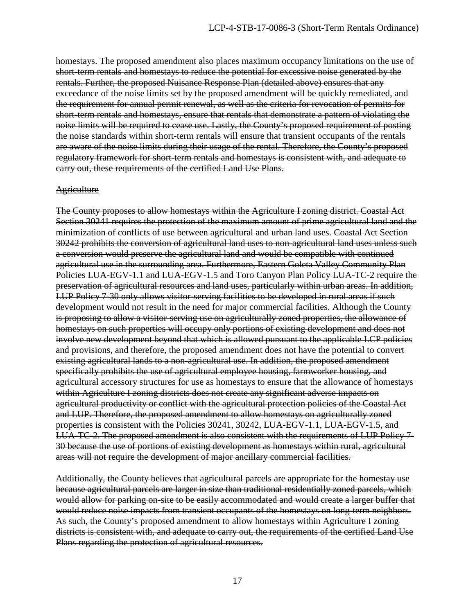homestays. The proposed amendment also places maximum occupancy limitations on the use of short-term rentals and homestays to reduce the potential for excessive noise generated by the rentals. Further, the proposed Nuisance Response Plan (detailed above) ensures that any exceedance of the noise limits set by the proposed amendment will be quickly remediated, and the requirement for annual permit renewal, as well as the criteria for revocation of permits for short-term rentals and homestays, ensure that rentals that demonstrate a pattern of violating the noise limits will be required to cease use. Lastly, the County's proposed requirement of posting the noise standards within short-term rentals will ensure that transient occupants of the rentals are aware of the noise limits during their usage of the rental. Therefore, the County's proposed regulatory framework for short-term rentals and homestays is consistent with, and adequate to carry out, these requirements of the certified Land Use Plans.

#### **Agriculture**

The County proposes to allow homestays within the Agriculture I zoning district. Coastal Act Section 30241 requires the protection of the maximum amount of prime agricultural land and the minimization of conflicts of use between agricultural and urban land uses. Coastal Act Section 30242 prohibits the conversion of agricultural land uses to non-agricultural land uses unless such a conversion would preserve the agricultural land and would be compatible with continued agricultural use in the surrounding area. Furthermore, Eastern Goleta Valley Community Plan Policies LUA-EGV-1.1 and LUA-EGV-1.5 and Toro Canyon Plan Policy LUA-TC-2 require the preservation of agricultural resources and land uses, particularly within urban areas. In addition, LUP Policy 7-30 only allows visitor-serving facilities to be developed in rural areas if such development would not result in the need for major commercial facilities. Although the County is proposing to allow a visitor-serving use on agriculturally zoned properties, the allowance of homestays on such properties will occupy only portions of existing development and does not involve new development beyond that which is allowed pursuant to the applicable LCP policies and provisions, and therefore, the proposed amendment does not have the potential to convert existing agricultural lands to a non-agricultural use. In addition, the proposed amendment specifically prohibits the use of agricultural employee housing, farmworker housing, and agricultural accessory structures for use as homestays to ensure that the allowance of homestays within Agriculture I zoning districts does not create any significant adverse impacts on agricultural productivity or conflict with the agricultural protection policies of the Coastal Act and LUP. Therefore, the proposed amendment to allow homestays on agriculturally zoned properties is consistent with the Policies 30241, 30242, LUA-EGV-1.1, LUA-EGV-1.5, and LUA-TC-2. The proposed amendment is also consistent with the requirements of LUP Policy 7- 30 because the use of portions of existing development as homestays within rural, agricultural areas will not require the development of major ancillary commercial facilities.

Additionally, the County believes that agricultural parcels are appropriate for the homestay use because agricultural parcels are larger in size than traditional residentially zoned parcels, which would allow for parking on-site to be easily accommodated and would create a larger buffer that would reduce noise impacts from transient occupants of the homestays on long term neighbors. As such, the County's proposed amendment to allow homestays within Agriculture I zoning districts is consistent with, and adequate to carry out, the requirements of the certified Land Use Plans regarding the protection of agricultural resources.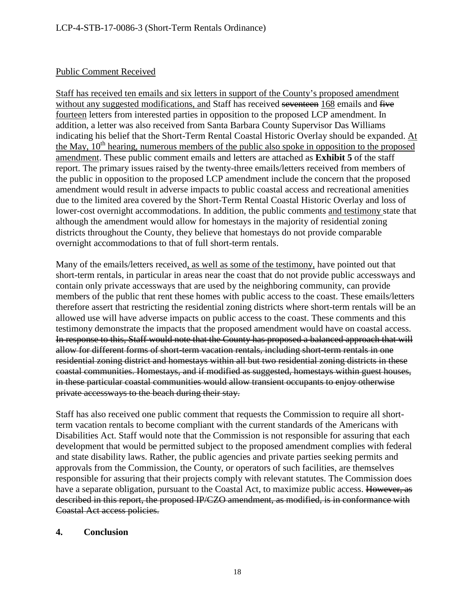#### Public Comment Received

Staff has received ten emails and six letters in support of the County's proposed amendment without any suggested modifications, and Staff has received seventeen 168 emails and five fourteen letters from interested parties in opposition to the proposed LCP amendment. In addition, a letter was also received from Santa Barbara County Supervisor Das Williams indicating his belief that the Short-Term Rental Coastal Historic Overlay should be expanded. At the May,  $10^{th}$  hearing, numerous members of the public also spoke in opposition to the proposed amendment. These public comment emails and letters are attached as **Exhibit 5** of the staff report. The primary issues raised by the twenty-three emails/letters received from members of the public in opposition to the proposed LCP amendment include the concern that the proposed amendment would result in adverse impacts to public coastal access and recreational amenities due to the limited area covered by the Short-Term Rental Coastal Historic Overlay and loss of lower-cost overnight accommodations. In addition, the public comments and testimony state that although the amendment would allow for homestays in the majority of residential zoning districts throughout the County, they believe that homestays do not provide comparable overnight accommodations to that of full short-term rentals.

Many of the emails/letters received, as well as some of the testimony, have pointed out that short-term rentals, in particular in areas near the coast that do not provide public accessways and contain only private accessways that are used by the neighboring community, can provide members of the public that rent these homes with public access to the coast. These emails/letters therefore assert that restricting the residential zoning districts where short-term rentals will be an allowed use will have adverse impacts on public access to the coast. These comments and this testimony demonstrate the impacts that the proposed amendment would have on coastal access. In response to this, Staff would note that the County has proposed a balanced approach that will allow for different forms of short-term vacation rentals, including short-term rentals in one residential zoning district and homestays within all but two residential zoning districts in these coastal communities. Homestays, and if modified as suggested, homestays within guest houses, in these particular coastal communities would allow transient occupants to enjoy otherwise private accessways to the beach during their stay.

Staff has also received one public comment that requests the Commission to require all shortterm vacation rentals to become compliant with the current standards of the Americans with Disabilities Act. Staff would note that the Commission is not responsible for assuring that each development that would be permitted subject to the proposed amendment complies with federal and state disability laws. Rather, the public agencies and private parties seeking permits and approvals from the Commission, the County, or operators of such facilities, are themselves responsible for assuring that their projects comply with relevant statutes. The Commission does have a separate obligation, pursuant to the Coastal Act, to maximize public access. However, as described in this report, the proposed IP/CZO amendment, as modified, is in conformance with Coastal Act access policies.

#### **4. Conclusion**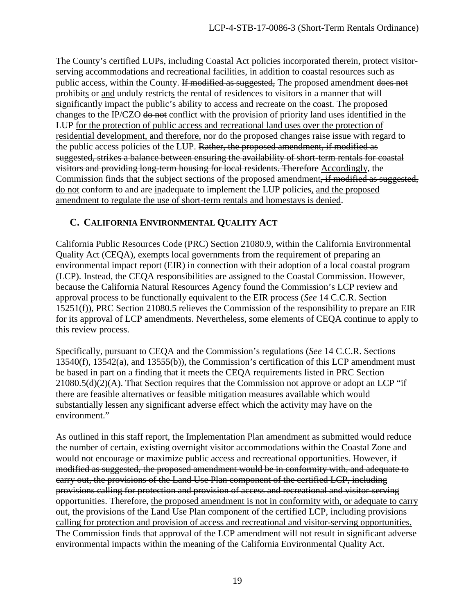The County's certified LUPs, including Coastal Act policies incorporated therein, protect visitorserving accommodations and recreational facilities, in addition to coastal resources such as public access, within the County. If modified as suggested, The proposed amendment does not prohibits  $\Theta$  and unduly restricts the rental of residences to visitors in a manner that will significantly impact the public's ability to access and recreate on the coast. The proposed changes to the IP/CZO do not conflict with the provision of priority land uses identified in the LUP for the protection of public access and recreational land uses over the protection of residential development, and therefore, nor do the proposed changes raise issue with regard to the public access policies of the LUP. Rather, the proposed amendment, if modified as suggested, strikes a balance between ensuring the availability of short-term rentals for coastal visitors and providing long-term housing for local residents. Therefore Accordingly, the Commission finds that the subject sections of the proposed amendment, if modified as suggested, do not conform to and are inadequate to implement the LUP policies, and the proposed amendment to regulate the use of short-term rentals and homestays is denied.

#### <span id="page-18-0"></span>**C. CALIFORNIA ENVIRONMENTAL QUALITY ACT**

California Public Resources Code (PRC) Section 21080.9, within the California Environmental Quality Act (CEQA), exempts local governments from the requirement of preparing an environmental impact report (EIR) in connection with their adoption of a local coastal program (LCP). Instead, the CEQA responsibilities are assigned to the Coastal Commission. However, because the California Natural Resources Agency found the Commission's LCP review and approval process to be functionally equivalent to the EIR process (*See* 14 C.C.R. Section 15251(f)), PRC Section 21080.5 relieves the Commission of the responsibility to prepare an EIR for its approval of LCP amendments. Nevertheless, some elements of CEQA continue to apply to this review process.

Specifically, pursuant to CEQA and the Commission's regulations (*See* 14 C.C.R. Sections 13540(f), 13542(a), and 13555(b)), the Commission's certification of this LCP amendment must be based in part on a finding that it meets the CEQA requirements listed in PRC Section  $21080.5(d)(2)(A)$ . That Section requires that the Commission not approve or adopt an LCP "if there are feasible alternatives or feasible mitigation measures available which would substantially lessen any significant adverse effect which the activity may have on the environment."

As outlined in this staff report, the Implementation Plan amendment as submitted would reduce the number of certain, existing overnight visitor accommodations within the Coastal Zone and would not encourage or maximize public access and recreational opportunities. However, if modified as suggested, the proposed amendment would be in conformity with, and adequate to carry out, the provisions of the Land Use Plan component of the certified LCP, including provisions calling for protection and provision of access and recreational and visitor-serving opportunities. Therefore, the proposed amendment is not in conformity with, or adequate to carry out, the provisions of the Land Use Plan component of the certified LCP, including provisions calling for protection and provision of access and recreational and visitor-serving opportunities. The Commission finds that approval of the LCP amendment will not result in significant adverse environmental impacts within the meaning of the California Environmental Quality Act.